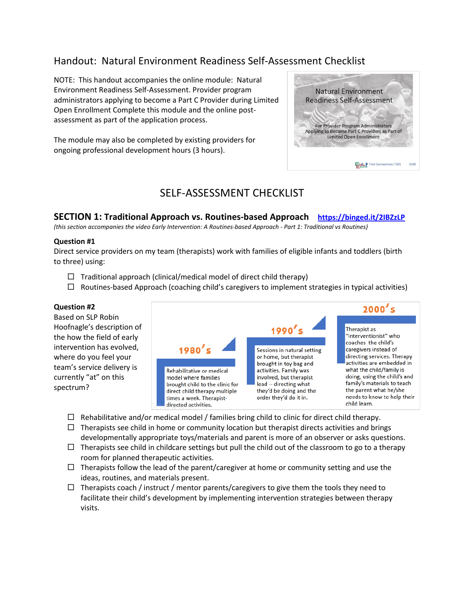# Handout: Natural Environment Readiness Self-Assessment Checklist

NOTE: This handout accompanies the online module: Natural Environment Readiness Self-Assessment. Provider program administrators applying to become a Part C Provider during Limited Open Enrollment Complete this module and the online postassessment as part of the application process.

The module may also be completed by existing providers for ongoing professional development hours (3 hours).



# SELF-ASSESSMENT CHECKLIST

**SECTION 1: Traditional Approach vs. Routines-based Approach <https://binged.it/2IBZzLP>**

*(this section accompanies the video Early Intervention: A Routines-based Approach - Part 1: Traditional vs Routines)*

#### **Question #1**

Direct service providers on my team (therapists) work with families of eligible infants and toddlers (birth to three) using:

- $\Box$  Traditional approach (clinical/medical model of direct child therapy)
- $\Box$  Routines-based Approach (coaching child's caregivers to implement strategies in typical activities)

#### **Question #2**

Based on SLP Robin Hoofnagle's description of the how the field of early intervention has evolved, where do you feel your team's service delivery is currently "at" on this spectrum?



- $\Box$  Rehabilitative and/or medical model / families bring child to clinic for direct child therapy.
- $\Box$  Therapists see child in home or community location but therapist directs activities and brings
- developmentally appropriate toys/materials and parent is more of an observer or asks questions.  $\Box$  Therapists see child in childcare settings but pull the child out of the classroom to go to a therapy
- room for planned therapeutic activities.
- $\Box$  Therapists follow the lead of the parent/caregiver at home or community setting and use the ideas, routines, and materials present.
- $\Box$  Therapists coach / instruct / mentor parents/caregivers to give them the tools they need to facilitate their child's development by implementing intervention strategies between therapy visits.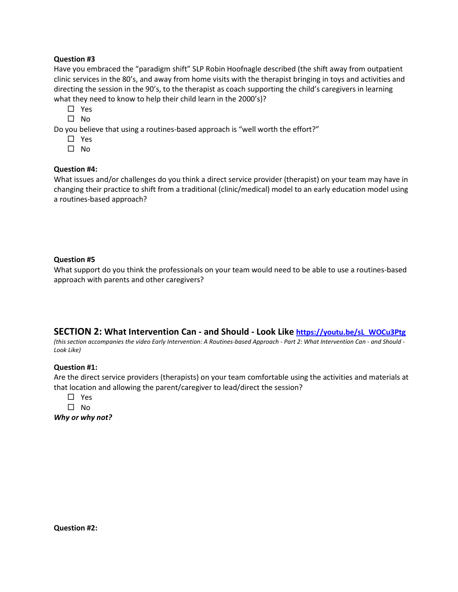# **Question #3**

Have you embraced the "paradigm shift" SLP Robin Hoofnagle described (the shift away from outpatient clinic services in the 80's, and away from home visits with the therapist bringing in toys and activities and directing the session in the 90's, to the therapist as coach supporting the child's caregivers in learning what they need to know to help their child learn in the 2000's)?

- $\Box$  Yes
- $\square$  No

Do you believe that using a routines-based approach is "well worth the effort?"

- □ Yes
- $\square$  No

# **Question #4:**

What issues and/or challenges do you think a direct service provider (therapist) on your team may have in changing their practice to shift from a traditional (clinic/medical) model to an early education model using a routines-based approach?

# **Question #5**

What support do you think the professionals on your team would need to be able to use a routines-based approach with parents and other caregivers?

# **SECTION 2: What Intervention Can - and Should - Look Like [https://youtu.be/sL\\_WOCu3Ptg](https://youtu.be/sL_WOCu3Ptg)**

*(this section accompanies the video Early Intervention: A Routines-based Approach - Part 2: What Intervention Can - and Should - Look Like)*

### **Question #1:**

Are the direct service providers (therapists) on your team comfortable using the activities and materials at that location and allowing the parent/caregiver to lead/direct the session?

- Yes
- $\square$  No

*Why or why not?*

**Question #2:**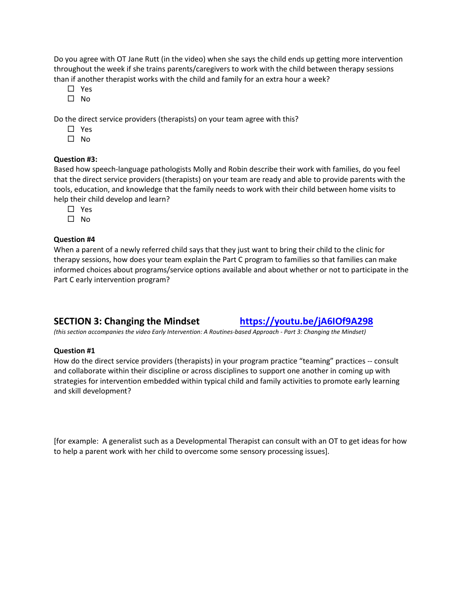Do you agree with OT Jane Rutt (in the video) when she says the child ends up getting more intervention throughout the week if she trains parents/caregivers to work with the child between therapy sessions than if another therapist works with the child and family for an extra hour a week?

- Yes
- $\square$  No

Do the direct service providers (therapists) on your team agree with this?

- □ Yes
- $\square$  No

#### **Question #3:**

Based how speech-language pathologists Molly and Robin describe their work with families, do you feel that the direct service providers (therapists) on your team are ready and able to provide parents with the tools, education, and knowledge that the family needs to work with their child between home visits to help their child develop and learn?

- □ Yes
- $\square$  No

#### **Question #4**

When a parent of a newly referred child says that they just want to bring their child to the clinic for therapy sessions, how does your team explain the Part C program to families so that families can make informed choices about programs/service options available and about whether or not to participate in the Part C early intervention program?

# **SECTION 3: Changing the Mindset <https://youtu.be/jA6IOf9A298>**

*(this section accompanies the video Early Intervention: A Routines-based Approach - Part 3: Changing the Mindset)*

#### **Question #1**

How do the direct service providers (therapists) in your program practice "teaming" practices -- consult and collaborate within their discipline or across disciplines to support one another in coming up with strategies for intervention embedded within typical child and family activities to promote early learning and skill development?

[for example: A generalist such as a Developmental Therapist can consult with an OT to get ideas for how to help a parent work with her child to overcome some sensory processing issues].